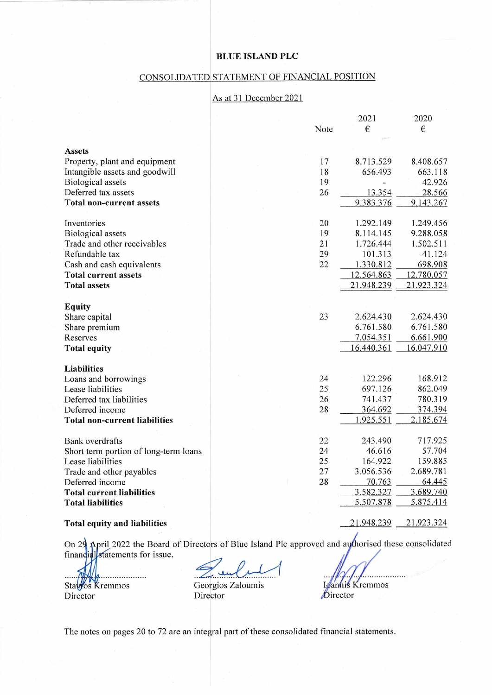#### **BLUE ISLAND PLC**

#### CONSOLIDATED STATEMENT OF FINANCIAL POSITION

#### As at 31 December 2021

|                                       |      | 2021       | 2020       |
|---------------------------------------|------|------------|------------|
|                                       | Note | €          | €          |
| <b>Assets</b>                         |      |            |            |
| Property, plant and equipment         | 17   | 8.713.529  | 8.408.657  |
| Intangible assets and goodwill        | 18   | 656.493    | 663.118    |
| <b>Biological assets</b>              | 19   |            | 42.926     |
| Deferred tax assets                   | 26   | 13.354     | 28.566     |
| <b>Total non-current assets</b>       |      | 9.383.376  | 9.143.267  |
|                                       |      |            |            |
| Inventories                           | 20   | 1.292.149  | 1.249.456  |
| <b>Biological</b> assets              | 19   | 8.114.145  | 9.288.058  |
| Trade and other receivables           | 21   | 1.726.444  | 1.502.511  |
| Refundable tax                        | 29   | 101.313    | 41.124     |
| Cash and cash equivalents             | 22   | 1.330.812  | 698.908    |
| <b>Total current assets</b>           |      | 12.564.863 | 12.780.057 |
| <b>Total assets</b>                   |      | 21.948.239 | 21.923.324 |
|                                       |      |            |            |
| Equity                                |      |            |            |
| Share capital                         | 23   | 2.624.430  | 2.624.430  |
| Share premium                         |      | 6.761.580  | 6.761.580  |
| Reserves                              |      | 7.054.351  | 6.661.900  |
| <b>Total equity</b>                   |      | 16.440.361 | 16.047.910 |
| <b>Liabilities</b>                    |      |            |            |
| Loans and borrowings                  | 24   | 122.296    | 168.912    |
| Lease liabilities                     | 25   | 697.126    | 862.049    |
| Deferred tax liabilities              | 26   | 741.437    | 780.319    |
| Deferred income                       | 28   | 364.692    | 374.394    |
| <b>Total non-current liabilities</b>  |      | 1.925.551  | 2.185.674  |
|                                       |      |            |            |
| <b>Bank</b> overdrafts                | 22   | 243.490    | 717.925    |
| Short term portion of long-term loans | 24   | 46.616     | 57.704     |
| Lease liabilities                     | 25   | 164.922    | 159.885    |
| Trade and other payables              | 27   | 3.056.536  | 2.689.781  |
| Deferred income                       | 28   | 70.763     | 64.445     |
| <b>Total current liabilities</b>      |      | 3.582.327  | 3.689.740  |
| <b>Total liabilities</b>              |      | 5.507.878  | 5.875.414  |
| <b>Total equity and liabilities</b>   |      | 21.948.239 | 21.923.324 |

#### **Total equity and liabilities**

On 29 April 2022 the Board of Directors of Blue Island Plc approved and authorised these consolidated financial statements for issue.

Stayos Kremmos Director

Georgios Zaloumis Director

Igannis Kremmos Director

The notes on pages 20 to 72 are an integral part of these consolidated financial statements.